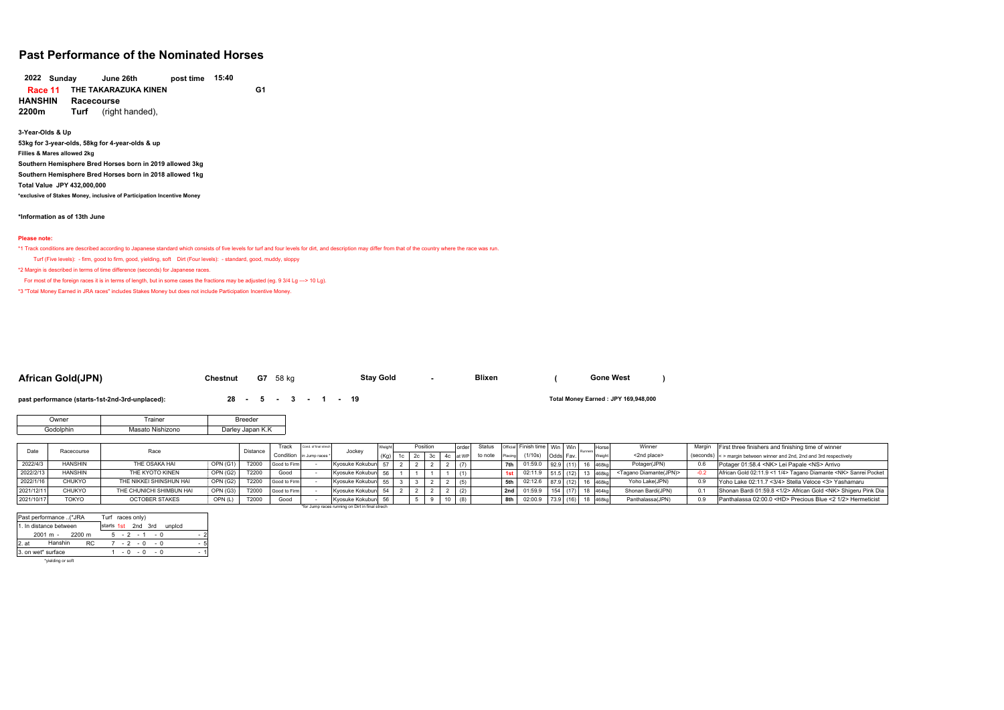# **Past Performance of the Nominated Horses**

**Sunday June 26th post time 15:40 THE TAKARAZUKA KINEN G1 Race 11 HANSHIN Racecourse 2022**

**2200m Turf** (right handed),

**3-Year-Olds & Up 53kg for 3-year-olds, 58kg for 4-year-olds & up Fillies & Mares allowed 2kg Southern Hemisphere Bred Horses born in 2019 allowed 3kg Southern Hemisphere Bred Horses born in 2018 allowed 1kg Total Value JPY 432,000,000 \*exclusive of Stakes Money, inclusive of Participation Incentive Money**

**\*Information as of 13th June**

#### **Please note:**

\*1 Track conditions are described according to Japanese standard which consists of five levels for turf and four levels for dirt, and description may differ from that of the country where the race was run.

Turf (Five levels): - firm, good to firm, good, yielding, soft Dirt (Four levels): - standard, good, muddy, sloppy

\*2 Margin is described in terms of time difference (seconds) for Japanese races.

For most of the foreign races it is in terms of length, but in some cases the fractions may be adjusted (eg. 9 3/4 Lg ---> 10 Lg).

\*3 "Total Money Earned in JRA races" includes Stakes Money but does not include Participation Incentive Money.

### **African Gold(JPN) Chestnut G7** <sup>58</sup> kg **- ()**

**Stay Gold** 

**Gone West**

**past performance (starts-1st-2nd-3rd-unplaced): <br><b>28 - 5** - **3** - **1** - **19** 

**Total Money Earned: JPY 169,948,000** 

| Jwner     | Trainer          | Breeder          |
|-----------|------------------|------------------|
| Godolphin | Masato Nishizono | Darley Japan K.K |

| Date       | Racecourse     | Race                     |                 | Distance | Track        | Cond, of final strech     | Jockey                                          |  | Position | order | Status  |         | Official Finish time   Win   Win |           | Horse    | Winner                             | Margin | First three finishers and finishing time of winner                    |
|------------|----------------|--------------------------|-----------------|----------|--------------|---------------------------|-------------------------------------------------|--|----------|-------|---------|---------|----------------------------------|-----------|----------|------------------------------------|--------|-----------------------------------------------------------------------|
|            |                |                          |                 |          |              | Condition in Jump races * |                                                 |  |          |       | to note | Placing | (1/10s)                          | Odds Fav  |          | <2nd place>                        |        | (seconds) <> margin between winner and 2nd, 2nd and 3rd respectively  |
| 2022/4/3   | <b>HANSHIN</b> | THE OSAKA HAI            | OPN (G1)        | T2000    | Good to Firm |                           | Kvosuke Kokubun 57                              |  |          | (7)   |         | 7th I   | $01:59.0$ 92.9 (11)              |           | 468kg    | Potager(JPN)                       | 0.6    | Potager 01:58.4 <nk> Lei Papale <ns> Arrivo</ns></nk>                 |
| 2022/2/13  | <b>HANSHIN</b> | THE KYOTO KINEN          | <b>OPN (G2)</b> | T2200    | Good         |                           | Kyosuke Kokubun 56                              |  |          |       |         | 1st     | 02:11.9                          | 515 (1    | 468kg    | <tagano diamante(jpn)=""></tagano> |        | African Gold 02:11.9 <1 1/4> Tagano Diamante <nk> Sanrei Pocket</nk>  |
| 2022/1/16  | CHUKYO         | THE NIKKEI SHINSHUN HAI  | OPN (G2)        | T2200    | Good to Firm |                           | Kyosuke Kokubun 55                              |  |          | (5)   |         | 5th     | 02:12.6                          | 87.9 (12  | 468kc    | Yoho Lake(JPN)                     |        | Yoho Lake 02:11.7 <3/4> Stella Veloce <3> Yashamaru                   |
| 2021/12/11 | CHUKYO         | THE CHUNICHI SHIMBUN HAI | OPN (G3)        | T2000    | Good to Firm |                           | Kyosuke Kokubun 54                              |  |          | (2)   |         | 2nd     | 01:59.9                          |           | $464$ ka | Shonan Bardi(JPN)                  | 0.1    | Shonan Bardi 01:59.8 <1/2> African Gold <nk> Shigeru Pink Dia</nk>    |
| 2021/10/17 | <b>TOKYO</b>   | <b>OCTOBER STAKES</b>    | OPN(L)          | T2000    | Good         |                           | Kvosuke Kokubun 56                              |  |          | (8)   |         | 8th     | 02:00.9                          | 73.9 (16) | 468kg    | Panthalassa(JPN)                   |        | Panthalassa 02:00.0 <hd> Precious Blue &lt;2 1/2&gt; Hermeticist</hd> |
|            |                |                          |                 |          |              |                           | *for Jump races running on Dirt in final strech |  |          |       |         |         |                                  |           |          |                                    |        |                                                                       |

|         | Past performance (*JRA |     | Turf races only)   |  |  |                 |        |     |
|---------|------------------------|-----|--------------------|--|--|-----------------|--------|-----|
|         | 1. In distance between |     | starts 1st 2nd 3rd |  |  |                 | unplcd |     |
|         | $2001 m - 2200 m$      |     |                    |  |  | $5 - 2 - 1 - 0$ |        | - 2 |
| $2.$ at | Hanshin                | RC. |                    |  |  | $7 - 2 - 0 - 0$ |        | - 5 |
|         | 3. on wet* surface     |     |                    |  |  | $1 - 0 - 0 - 0$ |        | - 1 |
|         | hoodding or coft       |     |                    |  |  |                 |        |     |

\*vielding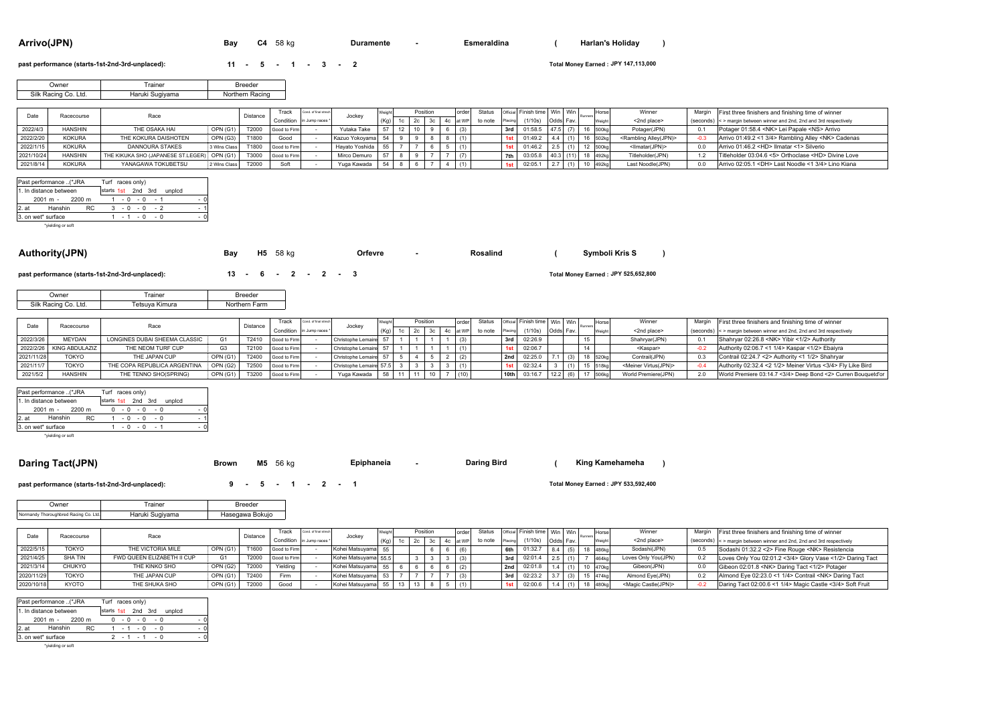| Arrivo(JPN) |  |
|-------------|--|
|             |  |

**Arrivo(JPN) Bay C4** <sup>58</sup> kg **- ()**

**Duramente** *Construmente Construmente* **Esmeraldina** *Construmente* **Construmente** 

#### **past performance (starts-1st-2nd-3rd-unplaced): <b>11 - 5 - 1 - 3 - 2**

**JPY 147,113,000**

| Owner                | Trainer         | <b>Breeder</b>  |
|----------------------|-----------------|-----------------|
| Silk Racing Co. Ltd. | Haruki Sugiyama | Northern Racing |

|            | Racecourse     |                                             |              | Distance | <b>Track</b>              | Cond. of final strep |                   |  | Position |  | order     | Status  |     | Official Finish time   Win   Win |           |  | Horse             | Winner                              | Margin | First three finishers and finishing time of winner                    |
|------------|----------------|---------------------------------------------|--------------|----------|---------------------------|----------------------|-------------------|--|----------|--|-----------|---------|-----|----------------------------------|-----------|--|-------------------|-------------------------------------|--------|-----------------------------------------------------------------------|
|            |                |                                             |              |          | Condition in Jump races * |                      | Jocke             |  |          |  | 4c lat WP | to note |     | (1/10s)                          | Odds Fav. |  |                   | <2nd place>                         |        | (seconds) < > margin between winner and 2nd, 2nd and 3rd respectively |
| 2022/4/3   | <b>HANSHIN</b> | THE OSAKA HAI                               | OPN (G1)     | T2000    | Good to Firm              |                      | Yutaka Take       |  |          |  |           |         | 3rd | 01:58.5                          | A71       |  | 16 500kg          | Potager(JPN)                        |        | Potager 01:58.4 <nk> Lei Papale <ns> Arrivo</ns></nk>                 |
| 2022/2/20  | <b>KOKURA</b>  | THE KOKURA DAISHOTEN                        | OPN (G3)     | T1800    | Good                      |                      | Kazuo Yokovama 54 |  |          |  |           |         |     | 01:49.                           |           |  |                   | <rambling alley(jpn)=""></rambling> |        | Arrivo 01:49.2 <1 3/4> Rambling Alley <nk> Cadenas</nk>               |
| 2022/1/15  | <b>KOKURA</b>  | <b>DANNOURA STAKES</b>                      | Wins Class   | T1800    | Good to Firm              |                      | Havato Yoshida 55 |  |          |  |           |         |     | 01:46.2                          |           |  | 500 <sub>kg</sub> | <llmatar(jpn)></llmatar(jpn)>       |        | Arrivo 01:46.2 <hd> Ilmatar &lt;1&gt; Silverio</hd>                   |
| 2021/10/24 | <b>HANSHIN</b> | THE KIKUKA SHO (JAPANESE ST.LEGER) OPN (G1) |              | T3000    | Good to Firm              |                      | Mirco Demuro      |  |          |  |           |         |     | 03:05.8                          |           |  | 492kg             | Titleholder(JPN)                    |        | Titleholder 03:04.6 <5> Orthoclase <hd> Divine Love</hd>              |
| 2021/8/14  | <b>KOKURA</b>  | YANAGAWA TOKUBETSU                          | 2 Wins Class | T2000    | Soft                      |                      | Yuga Kawada       |  |          |  |           |         |     | 02:05.7                          |           |  | 492ko             | Last Noodle(JPN)                    |        | Arrivo 02:05.1 <dh> Last Noodle &lt;1 3/4&gt; Lino Kiana</dh>         |

|       | Past performance (*JRA |     | Turf races only)   |  |                 |  |        |     |
|-------|------------------------|-----|--------------------|--|-----------------|--|--------|-----|
|       | 1. In distance between |     | starts 1st 2nd 3rd |  |                 |  | unpicd |     |
|       | $2001 m - 2200 m$      |     |                    |  | $1 - 0 - 0 - 1$ |  |        | - 0 |
| 2. at | Hanshin                | RC. |                    |  | $3 - 0 - 0 - 2$ |  |        |     |
|       | 3. on wet* surface     |     |                    |  | $1 - 1 - 0 - 0$ |  |        |     |
|       | *vielding or soft      |     |                    |  |                 |  |        |     |

\*yielding o

| Authority(JPN)                                  | Bay                                  | <b>H5</b> 58 ka |  |  | Orfevre | Rosalind | Symboli Kris S                      |  |
|-------------------------------------------------|--------------------------------------|-----------------|--|--|---------|----------|-------------------------------------|--|
| past performance (starts-1st-2nd-3rd-unplaced): | $13 \cdot 6 \cdot 2 \cdot 2 \cdot 3$ |                 |  |  |         |          | Total Money Earned: JPY 525,652,800 |  |

**Epiphaneia**

| Owner                | Trainer        | <b>Breeder</b> |
|----------------------|----------------|----------------|
| Silk Racing Co. Ltd. | Tetsuya Kimura | Northern Farm  |

|            | Racecourse                 | Race                          |                 | Distance | rack         | Cond. of final strech     |                         |      | Position | order | Status  |         | Official Finish time   Win   Win |          | <b>Horse</b> | Winner                           |      | Margin First three finishers and finishing time of winner             |
|------------|----------------------------|-------------------------------|-----------------|----------|--------------|---------------------------|-------------------------|------|----------|-------|---------|---------|----------------------------------|----------|--------------|----------------------------------|------|-----------------------------------------------------------------------|
|            |                            |                               |                 |          |              | Condition in Jump races * | Jocke                   | (Ka) |          |       | to note | Placing | (1/10s)                          | Odds Fav |              | <2nd place>                      |      | (seconds) < > margin between winner and 2nd, 2nd and 3rd respectively |
| 2022/3/26  | <b>MFYDAN</b>              | LONGINES DUBAI SHEEMA CLASSIC | G <sub>1</sub>  | T2410    | Good to Firm |                           | Christophe Lemaire 57   |      |          | (3)   |         | 3rd     | 02:26.9                          |          |              | Shahryar(JPN)                    |      | Shahrvar 02:26.8 <nk> Yibir &lt;1/2&gt; Authority</nk>                |
|            | 2022/2/26   KING ABDULAZIZ | THE NEOM TURF CUP             |                 | T2100    | Good to Firm |                           | Christophe Lemaire 57   |      |          | (1)   |         |         | 02:06.7                          |          | 14           | <kaspar></kaspar>                | -n : | Authority 02:06.7 < 1 1/4> Kaspar < 1/2> Ebaiyra                      |
| 2021/11/28 | <b>TOKYO</b>               | THE JAPAN CUP                 | OPN (G1)        | T2400    | Good to Firm |                           | Christophe Lemaire 57   |      |          | (2)   |         | 2nd     | 02:25.0                          |          | 18 520kg     | Contrail(JPN)                    |      | Contrail 02:24.7 <2> Authority <1 1/2> Shahrvar                       |
| 2021/11/7  | <b>TOKYC</b>               | THE COPA REPUBLICA ARGENTINA  | OPN (G2)        | T2500    | Good to Firm |                           | Christophe Lemaire 57.5 |      |          | (1)   |         |         | 02:32.4                          |          | 518kg        | <meiner virtus(jpn)=""></meiner> |      | Authority 02:32.4 <2 1/2> Meiner Virtus <3/4> Fly Like Bird           |
| 2021/5/2   | <b>HANSHIN</b>             | THE TENNO SHO(SPRING)         | <b>OPN (G1)</b> | T3200    | Good to Firm |                           | Yuga Kawada             |      |          | (10)  |         | 10th    | 03:16.7                          |          | <b>506kg</b> | World Premiere(JPN)              |      | World Premiere 03:14.7 <3/4> Deep Bond <2> Curren Bouquetd'or         |

| Past performance (*JRA |           | Turf races only) |  |                 |  |                           |      |     |
|------------------------|-----------|------------------|--|-----------------|--|---------------------------|------|-----|
| 1. In distance between |           |                  |  |                 |  | starts 1st 2nd 3rd unplcd |      |     |
| 2001 m - 2200 m        |           |                  |  | $0 - 0 - 0 - 0$ |  |                           |      | - 0 |
| 2. at Hanshin          | <b>RC</b> |                  |  | $1 - 0 - 0 - 0$ |  |                           | $-1$ |     |
| 3. on wet* surface     |           |                  |  | $1 - 0 - 0 - 1$ |  |                           |      | - 0 |
|                        |           |                  |  |                 |  |                           |      |     |

\*yielding or soft

#### **Daring Tact(JPN) Brown M5** <sup>56</sup> kg **- () Daring Bird King Kamehameha**

**past performance (starts-1st-2nd-3rd-unplaced): <b>9 - 5 - 1 - 2 - 1** 

### **JPY 533,592,400**

| <b>Owner</b>                          | Trainer         | <b>Breeder</b>  |
|---------------------------------------|-----------------|-----------------|
| Normandy Thoroughbred Racing Co. Ltd. | Haruki Sugiyama | Hasegawa Bokujo |

| Date       | Racecourse     | Race                       |                 | Distance | Track                     | Cond, of final strech | Jockev               | Positio         |  | order  | Status  |         | Official Finish time   Win   Win |          | Horse             | Winner                         | Margin | First three finishers and finishing time of winner                    |
|------------|----------------|----------------------------|-----------------|----------|---------------------------|-----------------------|----------------------|-----------------|--|--------|---------|---------|----------------------------------|----------|-------------------|--------------------------------|--------|-----------------------------------------------------------------------|
|            |                |                            |                 |          | Condition in Jump races * |                       |                      |                 |  | lat WP | to note | Placing | (1/10s)                          | Odds Fav |                   | <2nd place>                    |        | (seconds) < > margin between winner and 2nd, 2nd and 3rd respectively |
| 2022/5/15  | <b>TOKYO</b>   | THE VICTORIA MILE          | OPN (G1)        | T1600    | Good to Firm              |                       | Kohei Matsuvama 55   |                 |  |        |         | 6th     | 01:32.7                          |          | 486kg             | Sodashi(JPN)                   | 0.5    | Sodashi 01:32.2 <2> Fine Rouge <nk> Resistencia</nk>                  |
| 2021/4/25  | <b>SHA TIN</b> | FWD QUEEN ELIZABETH II CUP | G1              | T2000    | Good to Firm              |                       | Kohei Matsuyama 55.5 |                 |  |        |         | 3rd     | 02:01.4                          |          | 464kg             | Loves Only You(JPN)            | 0.2    | Loves Only You 02:01.2 <3/4> Glory Vase <1/2> Daring Tact             |
| 2021/3/14  | CHUKYO         | THE KINKO SHO              | <b>OPN (G2)</b> | T2000    | Yielding                  |                       | Kohei Matsuvama 55   |                 |  |        |         | 2nd     | 02:01.8                          |          |                   | Gibeon(JPN)                    |        | Gibeon 02:01.8 <nk> Daring Tact &lt;1/2&gt; Potager</nk>              |
| 2020/11/29 | TOKYO          | THE JAPAN CUP              | OPN(G1)         | T2400    | Firm                      |                       | Kohei Matsuvama 53   |                 |  | (3)    |         | 3rd     | 02:23.2                          |          | 474k <sub>0</sub> | Almond Eve(JPN)                | 0.2    | Almond Eye 02:23.0 <1 1/4> Contrail <nk> Daring Tact</nk>             |
| 2020/10/18 | KYOTO          | THE SHUKA SHO              | OPN (G1)        | T2000    | Good                      |                       | Kohei Matsuyama 55   | 13 <sub>1</sub> |  |        |         | 1st     | 02:00.6                          |          | 480kg             | <magic castle(jpn)=""></magic> |        | Daring Tact 02:00.6 <1 1/4> Magic Castle <3/4> Soft Fruit             |

|       | Past performance (*JRA |     | Turf races only) |  |                 |  |                           |     |  |
|-------|------------------------|-----|------------------|--|-----------------|--|---------------------------|-----|--|
|       | 1. In distance between |     |                  |  |                 |  | starts 1st 2nd 3rd unplcd |     |  |
|       | 2001 m - 2200 m        |     |                  |  | $0 - 0 - 0 - 0$ |  |                           | - 0 |  |
| 2. at | Hanshin                | RC. |                  |  | $1 - 1 - 0 - 0$ |  |                           | - 0 |  |
|       | 3. on wet* surface     |     |                  |  | $2 - 1 - 1 - 0$ |  |                           | - 0 |  |
|       | *yielding or soft      |     |                  |  |                 |  |                           |     |  |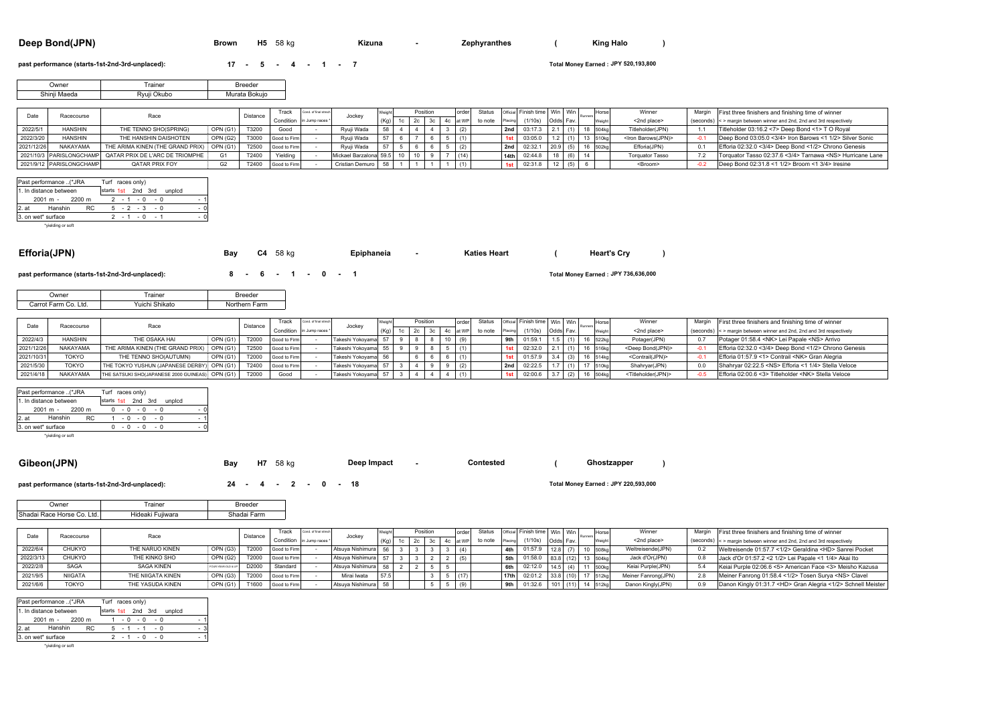| Deep Bond(JPN) |  |
|----------------|--|
|----------------|--|

**Deep Bond(JPN) Brown H5** <sup>58</sup> kg **- () Kizuna Zephyranthes King Halo**

#### **past performance (starts-1st-2nd-3rd-unplaced): <b>17 - 5 - 4 - 1 - 7**

**JPY 520,193,800**

57.5 3 5 6 (17) 17th 02:01.2 33.8 (10) 17 512kg Meiner Fanrong(JPN) 2.8 Meiner Fanrong 01:58.4 <1/2> Tosen Surya <NS> Clavel

Keiai Purple 02:06.6 <5> American Face <3> Meisho Kazusa

0.9 Danon Kingly 01:31.7 <HD> Gran Alegria <1/2> Schnell Meister

| <b>Jwner</b> | <b>rainer</b> | Breeder       |
|--------------|---------------|---------------|
| Shinii Maeda | Rvuii Okubo   | Murata Bokuio |

|            | Racecourse               | Race                                                     |          | Distance | <b>Track</b>              | Cond. of final street |                        |    | Positio |    | order | <b>Status</b> |         | Official Finish time Win Win |          | Horse   | Winner                       | Margin | First three finishers and finishing time of winner                    |
|------------|--------------------------|----------------------------------------------------------|----------|----------|---------------------------|-----------------------|------------------------|----|---------|----|-------|---------------|---------|------------------------------|----------|---------|------------------------------|--------|-----------------------------------------------------------------------|
|            |                          |                                                          |          |          | Condition in Jump races * |                       | Jocke                  |    |         | 4c |       | to note       |         | (1/10s)                      | Odds Fav | Weight  | <2nd place>                  |        | (seconds) < > margin between winner and 2nd, 2nd and 3rd respectively |
| 2022/5/    | <b>HANSHIN</b>           | THE TENNO SHO(SPRING)                                    | OPN (G1) | T3200    | Good                      |                       | Ryuji Wada             | 50 |         |    |       |               | 2nd     | 03:17.3                      |          | 504ko   | Titleholder(JPN)             |        | Titleholder 03:16.2 <7> Deep Bond <1> T O Royal                       |
| 2022/3/20  | <b>HANSHIN</b>           | THE HANSHIN DAISHOTEN                                    | OPN (G2) | T3000    | Good to Firm              |                       | Rvuii Wada             |    |         |    |       |               |         | 03:05.0                      |          | 510kg   | <lron barows(jpn)=""></lron> |        | Deep Bond 03:05.0 <3/4> Iron Barows <1 1/2> Silver Sonic              |
| 2021/12/26 | NAKAYAMA                 | THE ARIMA KINEN (THE GRAND PRIX)                         | OPN (G1) | T2500    | Good to Firm              |                       | Rvuii Wada             |    |         |    |       |               | ' 2nd l | 02:32.1                      |          | 6 502kg | Efforia(JPN)                 |        | Efforia 02:32.0 <3/4> Deep Bond <1/2> Chrono Genesis                  |
|            |                          | 2021/10/3 PARISLONGCHAMP QATAR PRIX DE L'ARC DE TRIOMPHE |          | T2400    | Yielding                  |                       | Mickael Barzalona 59.5 |    |         |    |       |               | 14th    | 02:44.1                      |          |         | <b>Torquator Tasso</b>       |        | Torquator Tasso 02:37.6 <3/4> Tarnawa <ns> Hurricane Lane</ns>        |
|            | 2021/9/12 PARISLONGCHAMP | QATAR PRIX FOY                                           |          | T2400    | Good to Firm              |                       | Cristian Demuro 58     |    |         |    |       |               |         | 02:31.8                      |          |         | <broom></broom>              |        | Deep Bond 02:31.8 <1 1/2> Broom <1 3/4> Iresine                       |

|         | Past performance (*JRA            |     |  | Turf races only)   |        |        |
|---------|-----------------------------------|-----|--|--------------------|--------|--------|
|         | 1. In distance between            |     |  | starts 1st 2nd 3rd | unpicd |        |
|         | 2001 m - 2200 m                   |     |  | $2 - 1 - 0 - 0$    |        | ٠      |
| $2.$ at | Hanshin                           | RC. |  | $5 - 2 - 3 - 0$    |        |        |
|         | 3. on wet* surface                |     |  | $2 - 1 - 0 - 1$    |        | $\sim$ |
|         | A. 2. 1. 15 (1991) 1992 1992 1993 |     |  |                    |        |        |

| 2. u<br>3. on wet* surface           | .<br>*yielding or soft           | <b>U</b> - 2 - U - U<br>$2 - 1 - 0 - 1$<br>$-0$                          |          |                |                              |                       |                                      |                 |                                                                      |                         |                |            |                     |            |                              |               |                                    |                                                                |                  |                                                                                                                        |
|--------------------------------------|----------------------------------|--------------------------------------------------------------------------|----------|----------------|------------------------------|-----------------------|--------------------------------------|-----------------|----------------------------------------------------------------------|-------------------------|----------------|------------|---------------------|------------|------------------------------|---------------|------------------------------------|----------------------------------------------------------------|------------------|------------------------------------------------------------------------------------------------------------------------|
| Efforia(JPN)                         |                                  |                                                                          | Bay      |                | C4 58 kg                     |                       | Epiphaneia                           |                 |                                                                      |                         |                |            | <b>Katies Heart</b> |            |                              |               |                                    | <b>Heart's Cry</b>                                             |                  |                                                                                                                        |
|                                      |                                  | past performance (starts-1st-2nd-3rd-unplaced):                          |          | $8 -$          |                              | $6 - 1 - 0 - 1$       |                                      |                 |                                                                      |                         |                |            |                     |            |                              |               |                                    | Total Money Earned: JPY 736,636,000                            |                  |                                                                                                                        |
|                                      | Owner                            | Trainer                                                                  |          | Breeder        |                              |                       |                                      |                 |                                                                      |                         |                |            |                     |            |                              |               |                                    |                                                                |                  |                                                                                                                        |
|                                      | Carrot Farm Co. Ltd.             | Yuichi Shikato                                                           |          | Northern Farm  |                              |                       |                                      |                 |                                                                      |                         |                |            |                     |            |                              |               |                                    |                                                                |                  |                                                                                                                        |
|                                      |                                  |                                                                          |          |                |                              |                       |                                      |                 |                                                                      |                         |                |            |                     |            |                              |               |                                    |                                                                |                  |                                                                                                                        |
| Date                                 | Racecourse                       | Race                                                                     |          | Distance       | Track                        | Cond. of final strect | Jockey                               | Veight          |                                                                      | Position                |                | order      | <b>Status</b>       |            | Official Finish time Win Win |               | Horse                              | Winner                                                         | Margin           | First three finishers and finishing time of winner                                                                     |
|                                      |                                  |                                                                          |          |                | Condition                    | in Jump races         |                                      | (Kg)            | 2c<br>1c                                                             | 3c                      |                | 4c at WP   | to note             | Placing    | (1/10s)                      | Odds Fav.     | Weight                             | <2nd place>                                                    | (seconds)        | <> margin between winner and 2nd, 2nd and 3rd respectively                                                             |
| 2022/4/3                             | <b>HANSHIN</b><br>NAKAYAMA       | THE OSAKA HAI                                                            | OPN (G1  | T2000          | Good to Firm                 |                       | Takeshi Yokoyama                     | 57<br>55        | -9<br>8                                                              | 8                       | 10             | (9)        |                     | 9th        | 01:59.1                      | 1.5           | 16 522kg<br>(1)                    | Potager(JPN)                                                   | 0.7              | Potager 01:58.4 <nk> Lei Papale <ns> Arrivo</ns></nk>                                                                  |
| 2021/12/26<br>2021/10/31             | <b>TOKYO</b>                     | THE ARIMA KINEN (THE GRAND PRIX)                                         | OPN (G1  | T2500<br>T2000 | Good to Firm                 |                       | Takeshi Yokoyama<br>Takeshi Yokoyama |                 | 9<br>9<br>6                                                          | 8<br>6                  | $5-1$          | (1)        |                     | 1st        | 02:32.0<br>01:57.9           | 2.1<br>3.4(3) | 16 516kg<br>(1)<br>16 514kg        | <deep bond(jpn)=""><br/><contrail(jpn)></contrail(jpn)></deep> | $-0.1$<br>$-0.1$ | Efforia 02:32.0 <3/4> Deep Bond <1/2> Chrono Genesis                                                                   |
| 2021/5/30                            | <b>TOKYO</b>                     | THE TENNO SHO(AUTUMN)<br>THE TOKYO YUSHUN (JAPANESE DERBY) OPN (G1       | OPN (G1) | T2400          | Good to Firm<br>Good to Firm |                       | Takeshi Yokoyama                     | 56<br>57        | $\overline{4}$                                                       | 9                       | 6<br>9         | (1)        |                     | 1st<br>2nd | 02:22.5                      | 1.7           |                                    | Shahryar(JPN)                                                  | 0.0              | Efforia 01:57.9 <1> Contrail <nk> Gran Alegria<br/>Shahryar 02:22.5 <ns> Efforia &lt;1 1/4&gt; Stella Veloce</ns></nk> |
| 2021/4/18                            | NAKAYAMA                         | THE SATSUKI SHO(JAPANESE 2000 GUINEAS) OPN (G1                           |          | T2000          | Good                         |                       | Takeshi Yokoyama                     | 57              | $\overline{\mathbf{3}}$<br>$\overline{\mathbf{3}}$<br>$\overline{4}$ | $\overline{4}$          | $\overline{4}$ | (2)<br>(1) |                     | 1st        | 02:00.6                      | 3.7           | 17 510kg<br>(1)<br>16 504kg<br>(2) | <titleholder(jpn)></titleholder(jpn)>                          | $-0.5$           | Efforia 02:00.6 <3> Titleholder <nk> Stella Veloce</nk>                                                                |
|                                      |                                  |                                                                          |          |                |                              |                       |                                      |                 |                                                                      |                         |                |            |                     |            |                              |               |                                    |                                                                |                  |                                                                                                                        |
| 1. In distance between<br>$2001 m -$ | Past performance (*JRA<br>2200 m | Turf races only)<br>starts 1st 2nd 3rd unplcd<br>$0 - 0 - 0 - 0$<br>$-0$ |          |                |                              |                       |                                      |                 |                                                                      |                         |                |            |                     |            |                              |               |                                    |                                                                |                  |                                                                                                                        |
| 2.at                                 | Hanshin<br><b>RC</b>             | $1 - 0 - 0 - 0$<br>$-1$                                                  |          |                |                              |                       |                                      |                 |                                                                      |                         |                |            |                     |            |                              |               |                                    |                                                                |                  |                                                                                                                        |
| 3. on wet* surface                   |                                  | $0 - 0 - 0 - 0$<br>$-0$                                                  |          |                |                              |                       |                                      |                 |                                                                      |                         |                |            |                     |            |                              |               |                                    |                                                                |                  |                                                                                                                        |
|                                      | *yielding or soft                |                                                                          |          |                |                              |                       |                                      |                 |                                                                      |                         |                |            |                     |            |                              |               |                                    |                                                                |                  |                                                                                                                        |
|                                      |                                  |                                                                          |          |                |                              |                       |                                      |                 |                                                                      |                         |                |            |                     |            |                              |               |                                    |                                                                |                  |                                                                                                                        |
|                                      |                                  |                                                                          |          |                |                              |                       |                                      |                 |                                                                      |                         |                |            |                     |            |                              |               |                                    |                                                                |                  |                                                                                                                        |
| Gibeon(JPN)                          |                                  |                                                                          | Bay      | <b>H7</b>      | 58 kg                        |                       | Deep Impact                          |                 |                                                                      |                         |                |            | Contested           |            |                              |               |                                    | Ghostzapper                                                    |                  |                                                                                                                        |
|                                      |                                  |                                                                          |          |                |                              |                       |                                      |                 |                                                                      |                         |                |            |                     |            |                              |               |                                    |                                                                |                  |                                                                                                                        |
|                                      |                                  | past performance (starts-1st-2nd-3rd-unplaced):                          |          | 24 -           |                              |                       | 4 - 2 - 0 - 18                       |                 |                                                                      |                         |                |            |                     |            |                              |               |                                    | Total Money Earned: JPY 220,593,000                            |                  |                                                                                                                        |
|                                      | Owner                            | Trainer                                                                  |          | <b>Breeder</b> |                              |                       |                                      |                 |                                                                      |                         |                |            |                     |            |                              |               |                                    |                                                                |                  |                                                                                                                        |
|                                      | Shadai Race Horse Co. Ltd.       | Hideaki Fujiwara                                                         |          | Shadai Farm    |                              |                       |                                      |                 |                                                                      |                         |                |            |                     |            |                              |               |                                    |                                                                |                  |                                                                                                                        |
|                                      |                                  |                                                                          |          |                |                              |                       |                                      |                 |                                                                      |                         |                |            |                     |            |                              |               |                                    |                                                                |                  |                                                                                                                        |
|                                      |                                  |                                                                          |          |                | Track                        | Cond. of final strect |                                      | Weight          |                                                                      | Position                |                | order      | <b>Status</b>       | Official   | Finish time   Win   Win      |               | Horse                              | Winner                                                         | Margin           | First three finishers and finishing time of winner                                                                     |
| Date                                 | Racecourse                       | Race                                                                     |          | Distance       | Condition                    | in Jump races         | Jockey                               | (Kg)            | 1c                                                                   | $2c$ $3c$               |                | 4c at WP   | to note             | Placing    | (1/10s)                      | Odds Fav.     | Weight                             | <2nd place>                                                    | (seconds)        | < > margin between winner and 2nd, 2nd and 3rd respectively                                                            |
| 2022/6/4                             | <b>CHUKYO</b>                    | THE NARUO KINEN                                                          | OPN (G3) | T2000          | Good to Firm                 |                       | Atsuya Nishimura                     | 56              | $\overline{\mathbf{3}}$<br>$\mathbf{3}$                              | $\overline{\mathbf{3}}$ | 3 <sup>1</sup> | (4)        |                     | 4th        | 01:57.9                      |               | $12.8$ (7)<br>10 508kg             | Weltreisende(JPN)                                              | 0.2              | Weltreisende 01:57.7 <1/2> Geraldina <hd> Sanrei Pocket</hd>                                                           |
| 2022/3/13                            | CHUKYO                           | THE KINKO SHO                                                            | OPN (G2) | T2000          | Good to Firm                 |                       | Atsuya Nishimura                     | 57 <sup>1</sup> | 3 <sup>1</sup>                                                       | $3 \mid 2$              | $\overline{2}$ | (5)        |                     | 5th        | 01:58.0                      |               | 83.8 (12) 13 504kg                 | Jack d'Or(JPN)                                                 | 0.8              | Jack d'Or 01:57.2 < 2 1/2> Lei Papale < 1 1/4> Akai Ito                                                                |

TOKYO | THE YASUDA KINEN | OPN (G1) | T1600 | Good to Firm | - | Atsuya Nishimura | 58 | | | 5 | 5 | (9) | | | | 9th | 01:32.6 | 101 | (11) | 14 |512kg | Danon Kingly(JPN)

Mirai Iwata

58 2 2 5 5 **6th** 14.5 (4) 11 500kg 02:12.0 57.5 3 5 (17) **17th** 33.8 (10) 17 512kg 02:01.2

Standard I - Atsuva Nishimura | 58 | 2 | 2 | 5 | 5 | 1 | 6th | 02:12.0 | 14.5 | (4) | 11 |500kg | Keiai Purple(JPN) | 5.4

|       | Past performance (*JRA |     | Turf races only)   |             |  |  |                 |        |     |
|-------|------------------------|-----|--------------------|-------------|--|--|-----------------|--------|-----|
|       | 1. In distance between |     | starts 1st 2nd 3rd |             |  |  |                 | unpicd |     |
|       | 2001 m - 2200 m        |     |                    | $1 - 0 - 0$ |  |  | $-0$            |        | - 1 |
| 2. at | Hanshin                | RC. |                    |             |  |  | $5 - 1 - 1 - 0$ |        | - 3 |
|       | 3. on wet* surface     |     |                    |             |  |  | $2 - 1 - 0 - 0$ |        |     |
|       | *vielding or soft      |     |                    |             |  |  |                 |        |     |

2022/2/8 SAGA SAGA KINEN 2021/9/5 NIIGATA THE NIIGATA KINEN

2021/6/6

FOUR-YEAR-OLD & UP

OPN (G3)

P D2000

T2000

OPN (G1) T1600 Good to Firm - Atsuya Nishimura

-

-

Good to Firm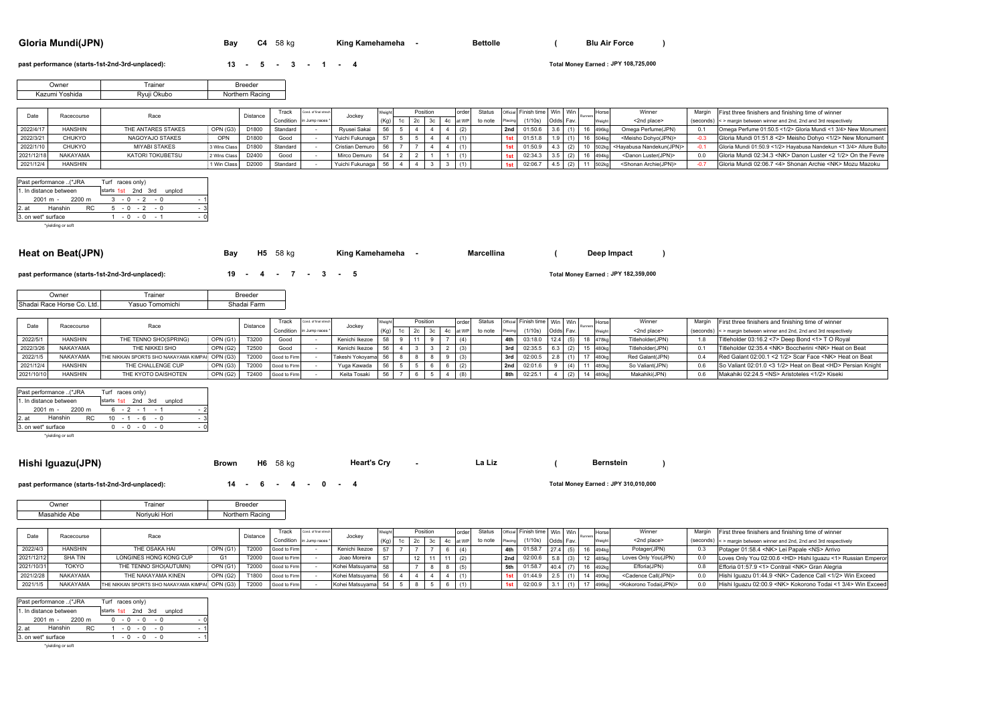## **Gloria Mundi(JPN) Bay C4** <sup>58</sup> kg **- ()**

**King Kamehameha -**

### **past performance (starts-1st-2nd-3rd-unplaced): <b>13 - 5 - 3 - 1 - 4**

|  | 13 |  |  | $-5 - 3$ |  |  |  | $1 -$ |  |
|--|----|--|--|----------|--|--|--|-------|--|
|--|----|--|--|----------|--|--|--|-------|--|

**JPY 108,725,000**

| <b>Owner</b>   | rainer      | <b>Breeder</b>  |
|----------------|-------------|-----------------|
| Kazumi Yoshida | Ryuji Okubo | Northern Racing |

|            | Racecourse     | Race                 |                 | Distance | rack      | Cond. of final strech |                   |                   | Position |  | orderl | Status  |         | Official Finish time Win Win |          | Horse<br>Runnen   | Winner                                       | Margin | First three finishers and finishing time of winner                     |
|------------|----------------|----------------------|-----------------|----------|-----------|-----------------------|-------------------|-------------------|----------|--|--------|---------|---------|------------------------------|----------|-------------------|----------------------------------------------|--------|------------------------------------------------------------------------|
|            |                |                      |                 |          | Condition | in Jumn races         | Jocke             | (K <sub>n</sub> ) |          |  |        | to note | Placing | (1/10s)                      | Odds Fav |                   | <2nd place>                                  |        | (seconds) < > margin between winner and 2nd. 2nd and 3rd respectively  |
| 2022/4/17  | <b>HANSHIN</b> | THE ANTARES STAKES   | <b>OPN (G3)</b> | D1800    | Standard  |                       | Rvusei Sakai      |                   |          |  |        |         | 2nd     | 01:50.6                      |          |                   | Omega Perfume(JPN)                           | . በ 1  | Omega Perfume 01:50.5 <1/2> Gloria Mundi <1 3/4> New Monument          |
| 2022/3/21  | CHUKYO         | NAGOYAJO STAKES      | OPN             | D1800    | Good      |                       | Yuichi Fukunaga I |                   |          |  |        |         |         | 01:51.8                      |          | 504 <sub>kg</sub> | <meisho dohvo(jpn)=""></meisho>              |        | Gloria Mundi 01:51.8 <2> Meisho Dohvo <1/2> New Monument               |
| 2022/1/10  | <b>CHUKYO</b>  | <b>MIYABI STAKES</b> | 3 Wins Class    | D1800    | Standard  |                       | Cristian Demuro   |                   |          |  |        |         |         | 01:50.9                      |          |                   | 502kg <hayabusa nandekun(jpn)=""></hayabusa> |        | Gloria Mundi 01:50.9 <1/2> Hayabusa Nandekun <1 3/4> Allure Bulto      |
| 2021/12/18 | NAKAYAMA       | KATORI TOKUBETSU     | 2 Wins Class    | D2400    | Good      |                       | Mirco Demuro      |                   |          |  |        |         |         | 02:34.3                      |          | 494 <sub>kg</sub> | <danon luster(jpn)=""></danon>               | n n    | Gloria Mundi 02:34.3 <nk> Danon Luster &lt;2 1/2&gt; On the Fevre</nk> |
| 2021/12/4  | <b>HANSHIN</b> |                      | 1 Win Class     | D2000    | Standard  |                       | Yuichi Fukunaga   |                   |          |  |        |         |         | 02:06.7                      |          |                   | <shonan archie(jpn)=""></shonan>             |        | Gloria Mundi 02:06.7 <4> Shonan Archie <nk> Mozu Mazoku  </nk>         |

|         | Past performance (*JRA |     | Turf races only)   |  |                 |  |        |  |
|---------|------------------------|-----|--------------------|--|-----------------|--|--------|--|
|         | 1. In distance between |     | starts 1st 2nd 3rd |  |                 |  | unplcd |  |
|         | $2001 m - 2200 m$      |     |                    |  | $3 - 0 - 2 - 0$ |  |        |  |
| $2.$ at | Hanshin                | RC. |                    |  | $5 - 0 - 2 - 0$ |  |        |  |
|         | 3. on wet* surface     |     |                    |  | $1 - 0 - 0 - 1$ |  |        |  |
|         | "violding or soft      |     |                    |  |                 |  |        |  |

| 'yielding or soft |  |
|-------------------|--|
|-------------------|--|

| Heat on Beat(JPN)<br>58 kg<br>H <sub>5</sub><br>Bav | King Kamehameha | Marcellina |  | Deep Impact |  |
|-----------------------------------------------------|-----------------|------------|--|-------------|--|
|-----------------------------------------------------|-----------------|------------|--|-------------|--|

| past performance (starts-1st-2nd-3rd-unplaced): | $19 - 4 - 7 - 3 - 5$ |  |  |  |  |
|-------------------------------------------------|----------------------|--|--|--|--|

| )wnei                 | rainer           | Rreeder |
|-----------------------|------------------|---------|
| Shadai Race Horse Co. | <b>Tomomichi</b> | Shadai  |
| Ltd.                  | $'$ asun         | Farm    |

| Date       | Racecourse     | Race                                            |                 | Distance | Track                     | Cond, of final strech | Jocke <sup>,</sup>  |      | Position |  | order    | Status  |         | Official Finish time   Win   Win |          | Horse    | Winner           | Margin         | First three finishers and finishing time of winner                    |
|------------|----------------|-------------------------------------------------|-----------------|----------|---------------------------|-----------------------|---------------------|------|----------|--|----------|---------|---------|----------------------------------|----------|----------|------------------|----------------|-----------------------------------------------------------------------|
|            |                |                                                 |                 |          | Condition in Jump races * |                       |                     | (Ka) |          |  | 4c at WP | to note | Placing | (1/10s)                          | Odds Fav |          | <2nd place>      |                | (seconds) < > margin between winner and 2nd. 2nd and 3rd respectively |
| 2022/5/1   | <b>HANSHIN</b> | THE TENNO SHO(SPRING)                           | OPN (G1)        | T3200    | Good                      |                       | Kenichi Ikezoe      |      |          |  |          |         | 4th     | 03:18.0                          | 124      |          | Titleholder(JPN) |                | Titleholder 03:16.2 <7> Deep Bond <1> T O Royal                       |
| 2022/3/26  | NAKAYAMA       | THE NIKKEI SHO                                  | <b>OPN (G2)</b> | T2500    | Good                      |                       | Kenichi Ikezoe      |      |          |  |          |         | 3rd     | 02:35.                           |          | 480kg    | Titleholder(JPN) | 0 <sup>1</sup> | Titleholder 02:35.4 <nk> Boccherini <nk> Heat on Beat</nk></nk>       |
| 2022/1/5   | NAKAYAMA       | THE NIKKAN SPORTS SHO NAKAYAMA KIMPAI. OPN (G3) |                 | T2000    | Good to Firm              |                       | Takeshi Yokovama 56 |      |          |  |          |         | 3rd     | 02:00.5                          |          |          | Red Galant(JPN)  |                | Red Galant 02:00.1 < 2 1/2> Scar Face <nk> Heat on Beat</nk>          |
| 2021/12/4  | <b>HANSHIN</b> | THE CHALLENGE CUP                               | OPN (G3)        | T2000    | Good to Firm              |                       | Yuga Kawada         |      |          |  |          |         | 2nd     | 02:01.6                          |          |          | So Valiant(JPN)  |                | So Valiant 02:01.0 <3 1/2> Heat on Beat <hd> Persian Knight</hd>      |
| 2021/10/10 | <b>HANSHIN</b> | THE KYOTO DAISHOTEN                             | <b>OPN (G2)</b> | T2400    | Good to Firn              |                       | Keita Tosaki        |      |          |  |          |         | 8th     | 02:25.                           |          | 44.480kg | Makahiki(JPN)    |                | Makahiki 02:24.5 <ns> Aristoteles &lt;1/2&gt; Kiseki</ns>             |

|       | Past performance  (*JRA |     | Turf races only) |  |  |                  |                           |     |  |
|-------|-------------------------|-----|------------------|--|--|------------------|---------------------------|-----|--|
|       | 1. In distance between  |     |                  |  |  |                  | starts 1st 2nd 3rd unplcd |     |  |
|       | 2001 m - 2200 m         |     |                  |  |  | $6 - 2 - 1 - 1$  |                           | - 2 |  |
| 2. at | Hanshin                 | RC. |                  |  |  | $10 - 1 - 6 - 0$ |                           | - 3 |  |
|       | 3. on wet* surface      |     |                  |  |  | $0 - 0 - 0 - 0$  |                           | - 0 |  |

\*yielding or soft

#### **Hishi Iguazu(JPN) Brown H6** 58 kg Heart's Cry La Liz ( Bernstein )

**past performance (starts-1st-2nd-3rd-unplaced): <b>14 - 6 - 4 - 0 - 4** 

### **JPY 310,010,000**

**Bernstein**

**JPY 182,359,000**

| Jwner        | `rainer    | eeder |
|--------------|------------|-------|
|              |            |       |
| Masahide Abe | Hori<br>NO | ומצו  |

|            | Racecourse      | Race                                           |          | Distance | Track        | Cond, of final strech     | Jockev             |      | Position |    | order    | <b>Status</b> |         | Official Finish time   Win   Win |           |  | Horse   | Winner                              | Margin | First three finishers and finishing time of winner                      |
|------------|-----------------|------------------------------------------------|----------|----------|--------------|---------------------------|--------------------|------|----------|----|----------|---------------|---------|----------------------------------|-----------|--|---------|-------------------------------------|--------|-------------------------------------------------------------------------|
|            |                 |                                                |          |          |              | Condition in Jump races * |                    |      |          |    | 4c at WP | to note       | Placing | (1/10s)                          | Odds Fav. |  |         | <2nd place>                         |        | (seconds) < > margin between winner and 2nd, 2nd and 3rd respectively   |
| 2022/4/3   | <b>HANSHIN</b>  | THE OSAKA HAI                                  | OPN (G1) | T2000    | Good to Firm |                           | Kenichi Ikezoe     |      |          |    |          |               | 4th I   | 01:58.7                          |           |  | 494kg   | Potager(JPN)                        |        | Potager 01:58.4 <nk> Lei Papale <ns> Arrivo</ns></nk>                   |
| 2021/12/12 | <b>SHA TIN</b>  | LONGINES HONG KONG CUP                         |          | T2000    | Good to Firm |                           | Joao Moreira       | $-1$ | 12       | 11 |          |               | 2nd     | 02:00.6                          |           |  | 485kg   | Loves Only You(JPN)                 |        | Loves Only You 02:00.6 <hd> Hishi Iguazu &lt;1&gt; Russian Emperor</hd> |
| 2021/10/31 | TOKYO           | THE TENNO SHO(AUTUMN)                          | OPN (G1) | T2000    | Good to Firm |                           | Kohei Matsuvama 58 |      |          |    |          |               | 5th I   | 01:58.7                          |           |  | 492kg   | Efforia(JPN)                        |        | Efforia 01:57.9 <1> Contrail <nk> Gran Alegria</nk>                     |
| 2021/2/28  | NAKAYAMA        | THE NAKAYAMA KINEN                             | OPN (G2) | T1800    | Good to Firm |                           | Kohei Matsuvama 56 |      |          |    |          |               | 1st     | 01:44.9                          |           |  | 1490ka. | <cadence call(jpn)=""></cadence>    |        | Hishi Iguazu 01:44.9 <nk> Cadence Call &lt;1/2&gt; Win Exceed</nk>      |
| 2021/1/5   | <b>NAKAYAMA</b> | THE NIKKAN SPORTS SHO NAKAYAMA KIMPAI OPN (G3) |          | T2000    | Good to Firm |                           | Kohei Matsuvama 54 |      |          |    |          |               | 1st l   | 02:00.9                          |           |  | 496kg   | <kokorono todai(jpn)=""></kokorono> |        | Hishi Iguazu 02:00.9 <nk> Kokorono Todai &lt;1 3/4&gt; Win Exceed</nk>  |

|       | Past performance (*JRA |     | Turf races only)   |  |                 |  |        |     |
|-------|------------------------|-----|--------------------|--|-----------------|--|--------|-----|
|       | 1. In distance between |     | starts 1st 2nd 3rd |  |                 |  | unpicd |     |
|       | $2001 m - 2200 m$      |     |                    |  | $0 - 0 - 0 - 0$ |  |        | - 0 |
| 2. at | Hanshin                | RC. |                    |  | $1 - 0 - 0 - 0$ |  |        | - 1 |
|       | 3. on wet* surface     |     |                    |  | $-0 - 0 - 0$    |  |        |     |
|       | *vielding or soft      |     |                    |  |                 |  |        |     |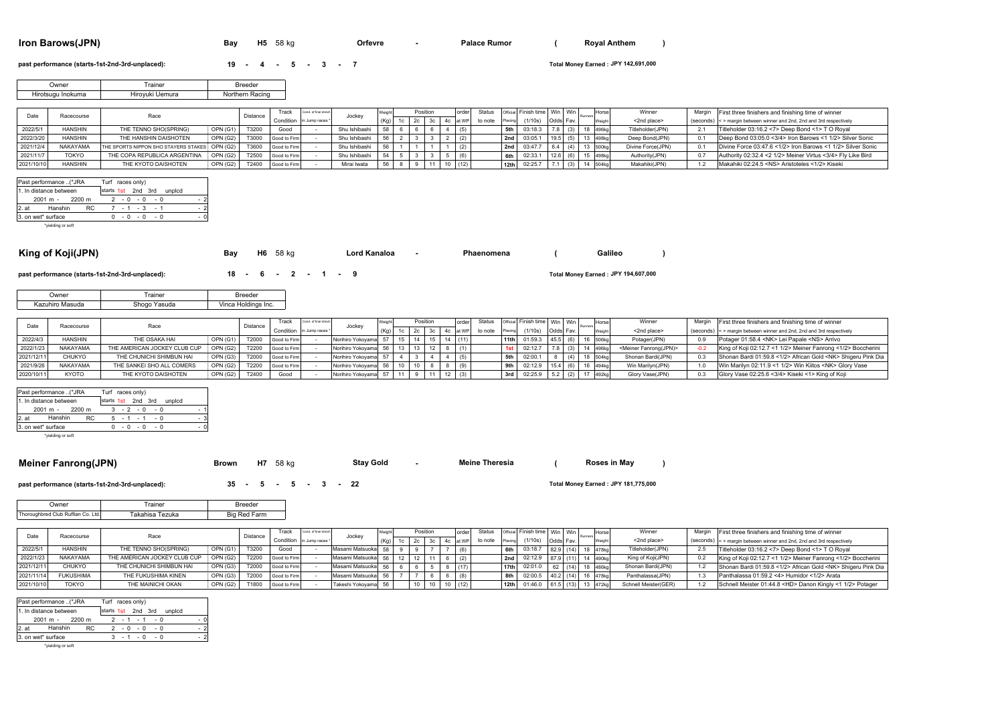### **Iron Barows(JPN) Bay** H5 58 kg **Confevre - Palace Rumor** ( Royal Anthem )

**Orfevre**

**Royal Anthem**

#### **past performance (starts-1st-2nd-3rd-unplaced): <b>19 - 4 - 5 - 3 - 7**

| $19 - 4$ |  | - 5 |  | $-3$ |  |  |  |
|----------|--|-----|--|------|--|--|--|
|----------|--|-----|--|------|--|--|--|

**JPY 142,691,000**

| Owner             | rainer          | Breeder         |
|-------------------|-----------------|-----------------|
| Hirotsugu Inokuma | Hirovuki Uemura | Northern Racing |

|            | Racecourse     | Race                                          |                 | Distance | Track                      | ond, of final street | Jockey        |      |                 | Position | order | Status  |                  | Official Finish time   Win   Win |           |                      | Horse | Winner            | Margin | First three finishers and finishing time of winner                    |
|------------|----------------|-----------------------------------------------|-----------------|----------|----------------------------|----------------------|---------------|------|-----------------|----------|-------|---------|------------------|----------------------------------|-----------|----------------------|-------|-------------------|--------|-----------------------------------------------------------------------|
|            |                |                                               |                 |          | Condition in Jump races *! |                      |               | (Ka) | 1c <sub>1</sub> |          |       | to note |                  | (1/10s)                          | Odds Fav. |                      |       | <2nd place>       |        | (seconds) < > margin between winner and 2nd. 2nd and 3rd respectively |
|            | <b>HANSHIN</b> | THE TENNO SHO(SPRING)                         | OPN(G1)         | T3200    | Good                       |                      | Shu Ishibashi |      |                 |          |       |         |                  | 03:18.3                          |           |                      |       | Titleholder(JPN)  |        | Titleholder 03:16.2 <7> Deep Bond <1> T O Royal                       |
|            | <b>HANSHIN</b> | THE HANSHIN DAISHOTEN                         | <b>OPN (G2)</b> | T3000    | Good to Firm               |                      | Shu Ishibashi |      |                 |          |       |         | 2nd              | 03:05.                           |           |                      | 498kg | Deep Bond(JPN)    |        | Deep Bond 03:05.0 <3/4> Iron Barows <1 1/2> Silver Sonic              |
| 2021/12/4  | NAKAYAMA       | THE SPORTS NIPPON SHO STAYERS STAKES OPN (G2) |                 | T3600    | Good to Firm               |                      | Shu Ishibashi |      |                 |          |       |         | 2nd              | 03:47.7                          |           | 3 500kg              |       | Divine Force(JPN) |        | Divine Force 03:47.6 <1/2> Iron Barows <1 1/2> Silver Sonic           |
| 2021/11/7  | <b>TOKYO</b>   | THE COPA REPUBLICA ARGENTINA                  | OPN(G2)         | T2500    | Good to Firm               |                      | Shu Ishibashi |      |                 |          |       |         |                  | 02:33.                           |           |                      |       | Authority(JPN)    |        | Authority 02:32.4 <2 1/2> Meiner Virtus <3/4> Fly Like Bird           |
| 2021/10/10 | <b>HANSHIN</b> | THE KYOTO DAISHOTEN                           | OPN (G2)        | T2400    | Good to Firm               |                      | Mirai Iwata   |      |                 |          |       |         | 12 <sub>th</sub> | 02:25.                           |           | <sup>1</sup> 4 504kg |       | Makahiki(JPN)     |        | Makahiki 02:24.5 <ns> Aristoteles &lt;1/2&gt; Kiseki</ns>             |

**Palace Rumor**

|      | Past performance (*JRA                   |     | Turf races only) |  |                 |  |                           |      |
|------|------------------------------------------|-----|------------------|--|-----------------|--|---------------------------|------|
|      | 1. In distance between                   |     |                  |  |                 |  | starts 1st 2nd 3rd unplcd |      |
|      | $2001 m - 2200 m$                        |     |                  |  | $2 - 0 - 0 - 0$ |  |                           |      |
| 2.at | Hanshin                                  | RC. |                  |  | 7 - 1 - 3 - 1   |  |                           | $-2$ |
|      | 3. on wet* surface                       |     |                  |  | $0 - 0 - 0 - 0$ |  |                           |      |
|      | the distribution of the condition of the |     |                  |  |                 |  |                           |      |

\*yielding or soft

| King of Koji(JPN)                               | Bay | <b>H6</b> 58 kg                      | Lord Kanaloa | Phaenomena | Galileo                             |  |
|-------------------------------------------------|-----|--------------------------------------|--------------|------------|-------------------------------------|--|
| past performance (starts-1st-2nd-3rd-unplaced): |     | $18 \cdot 6 \cdot 2 \cdot 1 \cdot 9$ |              |            | Total Money Earned: JPY 194,607,000 |  |

|  | past performance (starts-1st-2nd-3rd-unplaced |  |  |  |  |
|--|-----------------------------------------------|--|--|--|--|
|--|-----------------------------------------------|--|--|--|--|

**past performance (starts-1st-2nd-3rd-unplaced): 18 - 6 - 2 - 1 - 9 Total Money Earned :**

| <b>Jwner</b>    | rainer       | <b>Breeder</b>      |
|-----------------|--------------|---------------------|
| Kazuhiro Masuda | Shogo Yasuda | Vinca Holdings Inc. |

|            | Racecourse      |                              |          |          | Track                      | Cond. of final strech |                    |      |                 | Positio | order        | Status  |      | Official Finish time   Win   Win |      |           | Horse <sub>1</sub> | Winner                            | Margin | First three finishers and finishing time of winner                    |
|------------|-----------------|------------------------------|----------|----------|----------------------------|-----------------------|--------------------|------|-----------------|---------|--------------|---------|------|----------------------------------|------|-----------|--------------------|-----------------------------------|--------|-----------------------------------------------------------------------|
|            |                 |                              |          | Distance | Condition in Jump races *! |                       | Jocke <sup>®</sup> | (Ka) |                 |         | at WP        | to note |      | (1/10s)                          |      | Odds Fav. |                    | <2nd place>                       |        | (seconds) < > margin between winner and 2nd, 2nd and 3rd respectively |
| 2022/4/3   | <b>HANSHIN</b>  | THE OSAKA HAI                | OPN (G1) | T2000    | Good to Firm               |                       | Norihiro Yokovama  |      | 15              |         | $15$ 14 (11) |         | 11th | 01:59.3                          | 45.5 |           | 16 506ka           | Potager(JPN)                      |        | Potager 01:58.4 <nk> Lei Papale <ns> Arrivo</ns></nk>                 |
| 2022/1/23  | <b>NAKAYAMA</b> | THE AMERICAN JOCKEY CLUB CUP | OPN (G2) | T2200    | Good to Firm               |                       | Norihiro Yokovama  | 56   | 13 <sup>7</sup> |         |              |         | 1st  | 02:12.7                          |      |           |                    | <meiner fanrong(jpn)=""></meiner> |        | King of Koii 02:12.7 <1 1/2> Meiner Fanrong <1/2> Boccherini          |
| 2021/12/11 | CHUKYO          | THE CHUNICHI SHIMBUN HAI     | OPN (G3) | T2000    | Good to Firm               |                       | Norihiro Yokovama  |      |                 |         |              |         |      | 02:00.1                          |      |           | 504kg              | Shonan Bardi(JPN)                 |        | Shonan Bardi 01:59.8 <1/2> African Gold <nk> Shigeru Pink Dia</nk>    |
| 2021/9/26  | <b>NAKAYAMA</b> | THE SANKEI SHO ALL COMERS    | OPN (G2) | T2200    | Good to Firm               |                       | Norihiro Yokovama  |      |                 |         |              |         |      | 02:12.9                          |      |           | 494k <sub>0</sub>  | Win Marilyn(JPN)                  |        | Win Marilyn 02:11.9 <1 1/2> Win Kiitos <nk> Glory Vase</nk>           |
| 2020/10/11 | <b>KYOTO</b>    | THE KYOTO DAISHOTEN          | OPN (G2) | T2400    | Good                       |                       | Norihiro Yokoyama  |      | 11              |         |              |         | 3rd  | 02:25.9                          |      |           | 492 <sub>ka</sub>  | Glory Vase(JPN)                   |        | Glory Vase 02:25.6 <3/4> Kiseki <1> King of Koji                      |

|       | Past performance (*JRA |     | Turf races only) |  |  |                 |                           |     |  |
|-------|------------------------|-----|------------------|--|--|-----------------|---------------------------|-----|--|
|       | 1. In distance between |     |                  |  |  |                 | starts 1st 2nd 3rd unplcd |     |  |
|       | 2001 m - 2200 m        |     |                  |  |  | $3 - 2 - 0 - 0$ |                           | - 1 |  |
| 2. at | Hanshin                | RC. |                  |  |  | $5 - 1 - 1 - 0$ |                           | - 3 |  |
|       | 3. on wet* surface     |     |                  |  |  | $0 - 0 - 0 - 0$ |                           | - 0 |  |

\*yielding or soft

## **Meiner Fanrong(JPN) Brown H7** <sup>58</sup> kg **- ()**

### **past performance (starts-1st-2nd-3rd-unplaced): <br>
<b>35 - 5 - 5 - 3 - 22**

### **JPY 181,775,000**

**Roses in May**

| .)wner                             | Trainer         | Breeder      |
|------------------------------------|-----------------|--------------|
| Thoroughbred Club Ruffian Co. Ltd. | Takahisa Tezuka | Big Red Farm |

|            | Racecourse     | Race                         |          |       |              |                         | Distance              | Track       | Cond. of final strech |  |                        |  | Position |         | order                    | Status   Official Finish time   Win   Win |  |          |                      |     | Horse                                                                | Winner | Margin | First three finishers and finishing time of winner |
|------------|----------------|------------------------------|----------|-------|--------------|-------------------------|-----------------------|-------------|-----------------------|--|------------------------|--|----------|---------|--------------------------|-------------------------------------------|--|----------|----------------------|-----|----------------------------------------------------------------------|--------|--------|----------------------------------------------------|
|            |                |                              |          |       |              | Condition in Jump races | Jockey                | $(K\alpha)$ | 2c<br>1c              |  | 4c at WP               |  | to note  | Placing | (1/10s)                  | Odds Fav                                  |  | Weight   | <2nd place>          |     | (seconds) <> margin between winner and 2nd, 2nd and 3rd respectively |        |        |                                                    |
| 2022/5/    | <b>HANSHIN</b> | THE TENNO SHO(SPRING)        | OPN (G1) | T3200 | Good         |                         | Masami Matsuoka 58 9  |             |                       |  |                        |  |          | 6th     | $03:18.7$ 82.9           |                                           |  | 18 478kg | Titleholder(JPN)     |     | Titleholder 03:16.2 <7> Deep Bond <1> T O Roval                      |        |        |                                                    |
| 2022/1/23  | NAKAYAMA       | THE AMERICAN JOCKEY CLUB CUP | OPN (G2) | T2200 | Good to Firm |                         | Masami Matsuoka 56 12 |             |                       |  | $11 \t 6 \t (2)$       |  |          | 2nd     | 02:12.9 87.9             |                                           |  | 14 490kg | King of Koji(JPN)    | 0.2 | King of Koii 02:12.7 <1 1/2> Meiner Fanrong <1/2> Boccherini         |        |        |                                                    |
| 2021/12/11 | CHUKYO         | THE CHUNICHI SHIMBUN HAI     | OPN (G3) | T2000 | Good to Firm |                         | Masami Matsuoka 56 6  |             |                       |  |                        |  |          | 17th    | 02:01.0                  | $62$ (14)                                 |  | 18 486kg | Shonan Bardi(JPN)    |     | Shonan Bardi 01:59.8 <1/2> African Gold <nk> Shigeru Pink Dia</nk>   |        |        |                                                    |
| 2021/11/14 | FUKUSHIMA      | THE FUKUSHIMA KINEN          | OPN (G3) | T2000 | Good to Firm |                         | Masami Matsuoka 56    |             |                       |  |                        |  |          |         | 02:00.5                  | $40.2$ (14)                               |  | 16 478kg | Panthalassa(JPN)     |     | Panthalassa 01:59.2 <4> Humidor <1/2> Arata                          |        |        |                                                    |
| 2021/10/10 | TOKYO          | THE MAINICHI OKAN            | OPN (G2) | T1800 | Good to Firm |                         | Takeshi Yokovama 56   |             |                       |  | $10 \mid 10 \mid (12)$ |  |          |         | 12th $01:46.0$ 61.5 (13) |                                           |  | 13 472kg | Schnell Meister(GER) |     | Schnell Meister 01:44.8 <hd> Danon Kingly &lt;1 1/2&gt; Potager</hd> |        |        |                                                    |

**Stay Gold Meine Theresia**

|         | Past performance (*JRA |     | Turf races only)   |  |                 |  |        |     |  |
|---------|------------------------|-----|--------------------|--|-----------------|--|--------|-----|--|
|         | 1. In distance between |     | starts 1st 2nd 3rd |  |                 |  | unpicd |     |  |
|         | 2001 m - 2200 m        |     |                    |  | $2 - 1 - 1 - 0$ |  |        | - 0 |  |
| $2.$ at | Hanshin                | RC. |                    |  | $2 - 0 - 0 - 0$ |  |        | - 2 |  |
|         | 3. on wet* surface     |     |                    |  | $3 - 1 - 0 - 0$ |  |        | - 2 |  |
|         | *vielding or soft      |     |                    |  |                 |  |        |     |  |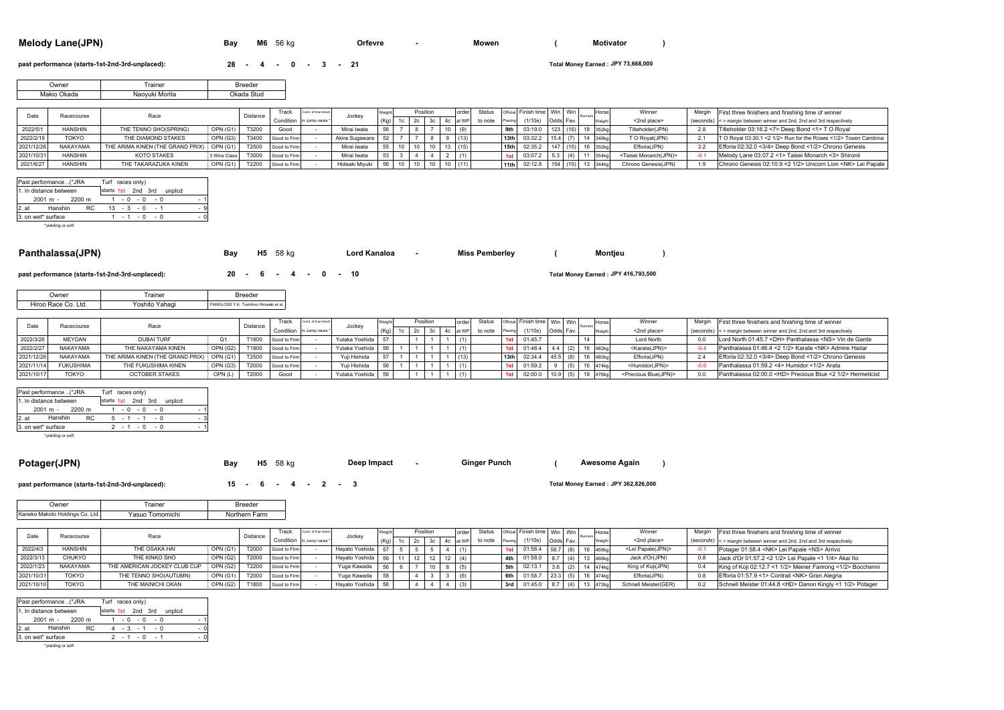|  | <b>Melody Lane(JPN)</b> | Bav | M <sub>6</sub> | 56 kg | Orfevre |  | Mowen |  | <b>Motivator</b> |  |
|--|-------------------------|-----|----------------|-------|---------|--|-------|--|------------------|--|
|--|-------------------------|-----|----------------|-------|---------|--|-------|--|------------------|--|

Orfevre - Mowen (Motivator

**past performance (starts-1st-2nd-3rd-unplaced): <br><b>28 - 4 - 0 - 3 - 21** 

**JPY 73,668,000**

**JPY 416,793,500**

| vner | Trainer                       | Breeder |
|------|-------------------------------|---------|
|      |                               |         |
|      | Morita<br>Naoyuk <sup>;</sup> | Stud    |

|            | Racecourse     | Race                             |              | Distance | Track        | Cond. of final street     |                |                   | Position | order |         |                  | Status   Official   Finish time   Win   Win |                  |      | Horse             | Winner                            | Margin | First three finishers and finishing time of winner                    |
|------------|----------------|----------------------------------|--------------|----------|--------------|---------------------------|----------------|-------------------|----------|-------|---------|------------------|---------------------------------------------|------------------|------|-------------------|-----------------------------------|--------|-----------------------------------------------------------------------|
|            |                |                                  |              |          |              | Condition in Jump races * | Jockev         | (K <sub>0</sub> ) |          |       | to note | Placing          | (1/10s)                                     | <b>Odds</b> Fav. |      |                   | <2nd place>                       |        | (seconds) < > margin between winner and 2nd, 2nd and 3rd respectively |
| 2022/5/    | <b>HANSHIN</b> | THE TENNO SHO(SPRING)            | OPN (G1)     | T3200    | Good         |                           | Mirai Iwata    |                   |          | (9)   |         |                  | 03:19.0                                     |                  | (16) |                   | Titleholder(JPN)                  |        | Titleholder 03:16.2 <7> Deep Bond <1> T O Roval                       |
| 2022/2/19  | <b>TOKYO</b>   | THE DIAMOND STAKES               | OPN (G3)     | T3400    | Good to Firm |                           | Akira Sugawara | 52                |          | (13)  |         | 13 <sub>th</sub> | 03:32.2                                     | 15.4             |      | 346kg             | T O Roval(JPN)                    | 2.1    | T O Royal 03:30.1 <2 1/2> Run for the Roses <1/2> Tosen Cambina       |
| 2021/12/26 | NAKAYAMA       | THE ARIMA KINEN (THE GRAND PRIX) | OPN (G1)     | T2500    | Good to Firm |                           | Mirai Iwata    |                   |          | (15)  |         | 15 <sub>th</sub> | 02:35.2                                     | (15)             |      |                   | Efforia(JPN)                      |        | Efforia 02:32.0 <3/4> Deep Bond <1/2> Chrono Genesis                  |
| 2021/10/31 | <b>HANSHIN</b> | KOTO STAKES                      | 3 Wins Class | T3000    | Good to Firm |                           | Mirai Iwata    |                   |          | (1)   |         |                  | 03:07.2                                     |                  |      | 354 <sub>kg</sub> | <taisei monarch(jpn)=""></taisei> | -01    | Melody Lane 03:07.2 <1> Taisei Monarch <3> Shironii                   |
|            | <b>HANSHIN</b> | THE TAKARAZUKA KINEN             | OPN (G1)     | T2200    | Good to Firm |                           | Hideaki Mivuki |                   |          | (11)  |         | 11th             | 02:12.8                                     |                  |      | 344 <sub>kg</sub> | Chrono Genesis(JPN)               |        | Chrono Genesis 02:10.9 <2 1/2> Unicorn Lion <nk> Lei Papale</nk>      |

|         | Past performance (*JRA |                    | Turf races only) |  |                  |        |  |     |
|---------|------------------------|--------------------|------------------|--|------------------|--------|--|-----|
|         | 1. In distance between | starts 1st 2nd 3rd |                  |  |                  | unpicd |  |     |
|         | $2001 m - 2200 m$      |                    |                  |  | $1 - 0 - 0 - 0$  |        |  |     |
| $2.$ at | Hanshin                | RC.                |                  |  | $13 - 3 - 0 - 1$ |        |  | - 9 |
|         | 3. on wet* surface     |                    |                  |  | $1 - 1 - 0 - 0$  |        |  |     |
|         | heighting or coft      |                    |                  |  |                  |        |  |     |

\*yielding o

| Panthalassa(JPN) | Bay | <b>H5</b> 58 kg | Lord Kanaloa | <b>Miss Pemberley</b> | Montjeu |  |
|------------------|-----|-----------------|--------------|-----------------------|---------|--|
|                  |     |                 |              |                       |         |  |

**past performance (starts-1st-2nd-3rd-unplaced): <br><b>20 - 6 - 4 - 0 - 10** 

| <b>Jwner</b>        | rainer         | Rreedei                               |  |
|---------------------|----------------|---------------------------------------|--|
| Hiroo Race Co. Ltd. | Yoshito Yahagi | PANGLOSS Y K Toshihiro Hirosaki et al |  |

|            |                  |                                  |          |          | `rack                     | Cond. of final strect |                   |  | Position |  | order | <b>Status</b> |                  | Official Finish time   Win   Win |           |    | Horse             | Winner                             | Margin | First three finishers and finishing time of winner                    |
|------------|------------------|----------------------------------|----------|----------|---------------------------|-----------------------|-------------------|--|----------|--|-------|---------------|------------------|----------------------------------|-----------|----|-------------------|------------------------------------|--------|-----------------------------------------------------------------------|
|            | Racecourse       |                                  |          | Distance | Condition in Jump races * |                       | Jocke             |  |          |  | at WP | to note       |                  | (1/10s)                          | Odds Fav. |    |                   | <2nd place>                        |        | (seconds) <> margin between winner and 2nd, 2nd and 3rd respectively  |
| 2022/3/26  | <b>MFYDAN</b>    | <b>DUBAI TURF</b>                |          | T1800    | Good to Firm              |                       | Yutaka Yoshida I  |  |          |  |       |               |                  | 01:45.7                          |           | 14 |                   | Lord North                         |        | Lord North 01:45.7 <dh> Panthalassa <ns> Vin de Garde</ns></dh>       |
| 2022/2/27  | <b>NAKAYAMA</b>  | THE NAKAYAMA KINEN               | OPN (G2) | T1800    | Good to Firm              |                       | Yutaka Yoshida 56 |  |          |  |       |               |                  | 01:46.                           |           |    | 482 <sub>ka</sub> | <karate(jpn)></karate(jpn)>        |        | Panthalassa 01:46.4 < 2 1/2> Karate <nk> Admire Hadar</nk>            |
|            | <b>NAKAYAMA</b>  | THE ARIMA KINEN (THE GRAND PRIX) | OPN (G1) | T2500    | Good to Firm              |                       | Yuii Hishida      |  |          |  |       |               | 13 <sub>th</sub> | 02:34.4                          |           |    | 1480kg            | Efforia(JPN)                       |        | Efforia 02:32.0 <3/4> Deep Bond <1/2> Chrono Genesis                  |
| 2021/11/14 | <b>FUKUSHIMA</b> | THE FUKUSHIMA KINEN              | OPN(G3)  | T2000    | Good to Firm              |                       | Yuii Hishida      |  |          |  |       |               |                  | 01:59.7                          |           |    | 474kg             | <humidor(jpn)></humidor(jpn)>      |        | Panthalassa 01:59.2 <4> Humidor <1/2> Arata                           |
| 2021/10/17 | <b>TOKYO</b>     | <b>OCTOBER STAKES</b>            | OPN(L)   | T2000    | Good                      |                       | Yutaka Yoshida 56 |  |          |  |       |               |                  | 02:00.1                          |           |    |                   | <precious blue(jpn)=""></precious> |        | Panthalassa 02:00.0 <hd> Precious Blue &lt;2 1/2&gt; Hermeticist</hd> |

|      | Past performance (*JRA |  | Turf races only) |  |  |                           |                 |  |     |  |
|------|------------------------|--|------------------|--|--|---------------------------|-----------------|--|-----|--|
|      | 1. In distance between |  |                  |  |  | starts 1st 2nd 3rd unplcd |                 |  |     |  |
|      | 2001 m - 2200 m        |  |                  |  |  |                           | $1 - 0 - 0 - 0$ |  | - 1 |  |
| 2.at | Hanshin                |  | RC.              |  |  |                           | $5 - 1 - 1 - 0$ |  | - 3 |  |
|      | 3. on wet* surface     |  |                  |  |  |                           | $2 - 1 - 0 - 0$ |  | - 1 |  |

\*yielding or soft

**Potager(JPN) Bay H5** <sup>58</sup> kg **- () Deep Impact Ginger Punch**

**past performance (starts-1st-2nd-3rd-unplaced): <b>15 - 6 - 4 - 2 - 3** 

**JPY 362,826,000**

**Awesome Again**

| <b>Owner</b>                    | Trainer         | <b>Breeder</b> |
|---------------------------------|-----------------|----------------|
| Kaneko Makoto Holdings Co. Ltd. | Yasuo Tomomichi | Northern Farm  |

|            | Racecourse      | Race                         |                   | Distance | rack         | Cond. of final strech     | Jocke <sup>,</sup> |                   | Position |     | order | Status  |         | Official Finish time Win Win |            |     | Horse    | Winner                     | Margin | First three finishers and finishing time of winner                    |
|------------|-----------------|------------------------------|-------------------|----------|--------------|---------------------------|--------------------|-------------------|----------|-----|-------|---------|---------|------------------------------|------------|-----|----------|----------------------------|--------|-----------------------------------------------------------------------|
|            |                 |                              |                   |          |              | Condition in Jump races * |                    | (K <sub>n</sub> ) |          |     |       | to note | Placing | (1/10s)                      | Odds Fav.  |     |          | <2nd place>                |        | (seconds) < > margin between winner and 2nd, 2nd and 3rd respectively |
| 2022/4/3   | <b>HANSHIN</b>  | THE OSAKA HAI                | T2000<br>OPN (G1) |          | Good to Firm |                           | Havato Yoshida     | 57                |          |     |       |         |         | 01:58.4                      | $58.7$ (8) |     | 468kg    | <lei papale(jpn)=""></lei> | -∩∴    | Potager 01:58.4 <nk> Lei Papale <ns> Arrivo</ns></nk>                 |
| 2022/3/13  | CHUKYO          | THE KINKO SHO                | OPN (G2)          | T2000    | Good to Firm |                           | Havato Yoshida     | 56                |          | -11 | (4)   |         | 4th     | 01:58.0                      |            | (4) | 466kg    | Jack d'Or(JPN)             |        | Jack d'Or 01:57.2 < 2 1/2> Lei Papale < 1 1/4> Akai Ito               |
| 2022/1/23  | <b>NAKAYAMA</b> | THE AMERICAN JOCKEY CLUB CUP | OPN (G2)          | T2200    | Good to Firm |                           | Yuga Kawada        |                   |          |     | (5)   |         | 5th     | $02:13.*$                    |            |     |          | King of Koji(JPN)          |        | King of Koii 02:12.7 <1 1/2> Meiner Fanrong <1/2> Boccherini          |
| 2021/10/31 | <b>TOKYO</b>    | THE TENNO SHO(AUTUMN)        | OPN (G1)          | T2000    | Good to Firm |                           | Yuga Kawada        |                   |          |     |       |         | 6th     | 01:58.7                      |            |     | 16 474kg | Efforia(JPN)               | 0.8    | Efforia 01:57.9 <1> Contrail <nk> Gran Alegria</nk>                   |
| 2021/10/10 | TOKYO           | THE MAINICHI OKAN            | OPN (G2)          | T1800    | Good to Firm |                           | Hayato Yoshida     | 56                |          |     | (3)   |         | 3rd l   | 01:45.0                      |            | (4) | 472kg    | Schnell Meister(GER)       | 0.2    | Schnell Meister 01:44.8 <hd> Danon Kingly &lt;1 1/2&gt; Potager</hd>  |

|         | Past performance (*JRA |     | Turf races only) |  |  |                 |                           |     |     |
|---------|------------------------|-----|------------------|--|--|-----------------|---------------------------|-----|-----|
|         | 1. In distance between |     |                  |  |  |                 | starts 1st 2nd 3rd unplcd |     |     |
|         | 2001 m - 2200 m        |     |                  |  |  | $1 - 0 - 0 - 0$ |                           | - 1 |     |
| $2.$ at | Hanshin                | RC. |                  |  |  | $4 - 3 - 1 - 0$ |                           | - 0 |     |
|         | 3. on wet* surface     |     |                  |  |  | $2 - 1 - 0 - 1$ |                           |     | - 0 |
|         | *vielding or soft      |     |                  |  |  |                 |                           |     |     |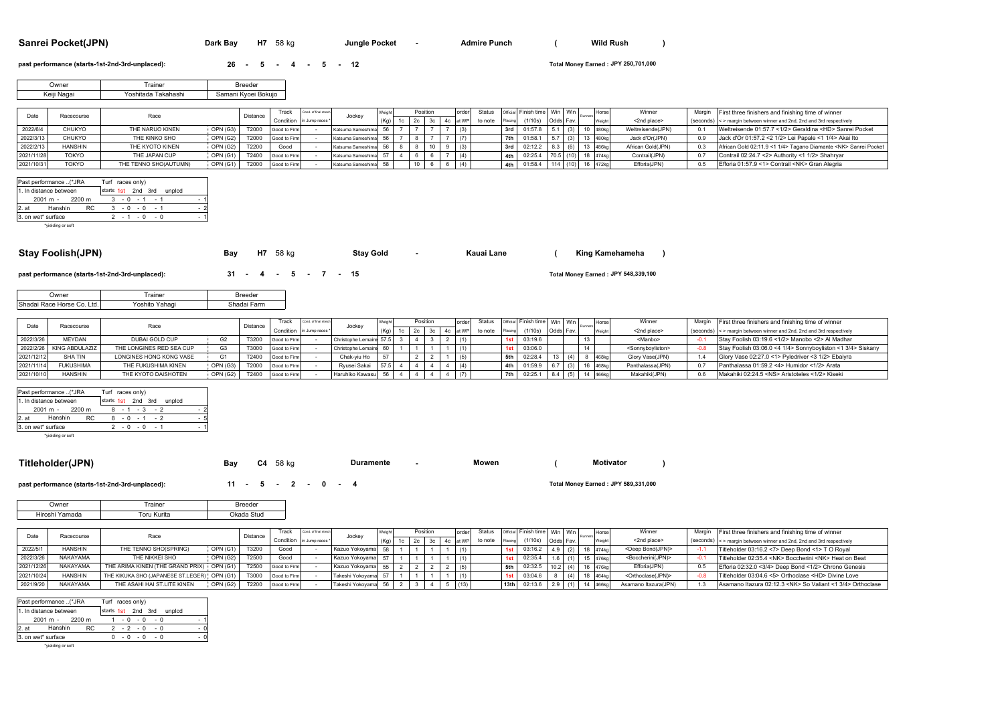**Sanrei Pocket(JPN) Dark Bay H7** 58 kg **- Jungle Pocket - Admire Punch** ( Wild Rush )

**Jungle Pocket <b>Admire 2** 

**past performance (starts-1st-2nd-3rd-unplaced): <br><b>26 - 5** - **4 - 5** - **12** 

**JPY 250,701,000**

| .)wner         | ainer                    | reeder              |
|----------------|--------------------------|---------------------|
| Keiji<br>Nagai | ı Takahashi<br>∕oshitada | Samani Kvoei Bokuio |

|            | Racecourse     | Race                  |          | Distance | Track        | Cond. of final stree      |                      |    | Position |  | order | Status  |         | Official Finish time   Win   Win |          |  | Horse     | Winner            | Margin First three finishers and finishing time of winner             |
|------------|----------------|-----------------------|----------|----------|--------------|---------------------------|----------------------|----|----------|--|-------|---------|---------|----------------------------------|----------|--|-----------|-------------------|-----------------------------------------------------------------------|
|            |                |                       |          |          |              | Condition in Jump races * | Jockev               |    |          |  |       | to note | Placing | (1/10s)                          | Odds Fav |  | Weight    | <2nd place>       | (seconds) < > margin between winner and 2nd, 2nd and 3rd respectively |
| 2022/6/4   | <b>CHUKYO</b>  | THE NARUO KINEN       | OPN (G3) | T2000    | Good to Firm |                           | Katsuma Sameshima    | 56 |          |  |       |         | 3rd     | 01:57.8                          |          |  | 10 l480kc | Weltreisende(JPN) | Weltreisende 01:57.7 <1/2> Geraldina <hd> Sanrei Pocket</hd>          |
| 2022/3/13  | <b>CHUKYO</b>  | THE KINKO SHO         | OPN (G2) | T2000    | Good to Firm |                           | Katsuma Sameshima    |    |          |  |       |         | 7th     | 01:58.1                          |          |  |           | Jack d'Or(JPN)    | Jack d'Or 01:57.2 < 2 1/2> Lei Papale < 1 1/4> Akai Ito               |
| 2022/2/1   | <b>HANSHIN</b> | THE KYOTO KINEN       | OPN (G2) | T2200    | Good         |                           | Katsuma Sameshima 56 |    |          |  |       |         | 3rd     | 02:12.2                          |          |  | 486kc     | African Gold(JPN) | African Gold 02:11.9 <1 1/4> Tagano Diamante <nk> Sanrei Pocket</nk>  |
| 2021/11/28 | <b>TOKYO</b>   | THE JAPAN CUP         | OPN (G1) | T2400    | Good to Firm |                           | Katsuma Sameshima    |    |          |  | (4)   |         | 4th     | 02:25.4                          |          |  | 18 474kg  | Contrail(JPN)     | Contrail 02:24.7 <2> Authority <1 1/2> Shahrvar                       |
| 2021/10/31 | <b>TOKYO</b>   | THE TENNO SHO(AUTUMN) | OPN (G1) | T2000    | Good to Firm |                           | Katsuma Sameshima    | 69 |          |  | (4)   |         | 4th     | 01:58.4                          |          |  | 16 472kg  | Efforia(JPN)      | Efforia 01:57.9 <1> Contrail <nk> Gran Alegria</nk>                   |

|         | Past performance (*JRA |                    | Turf races only) |  |                 |        |  |   |
|---------|------------------------|--------------------|------------------|--|-----------------|--------|--|---|
|         | 1. In distance between | starts 1st 2nd 3rd |                  |  |                 | unpicd |  |   |
|         | 2001 m - 2200 m        |                    |                  |  | $3 - 0 - 1 - 1$ |        |  | ٠ |
| $2.$ at | Hanshin                | RC.                |                  |  | $3 - 0 - 0 - 1$ |        |  |   |
|         | 3. on wet* surface     |                    |                  |  | $2 - 1 - 0 - 0$ |        |  | ٠ |
|         | hoodding or coft       |                    |                  |  |                 |        |  |   |

\*yielding o

| Stay Foolish(JPN) | Bay | 58 ka<br>H7 | <b>Stay Gold</b> | Kauai Lane | King Kamehameha |  |
|-------------------|-----|-------------|------------------|------------|-----------------|--|
|                   |     |             |                  |            |                 |  |

**past performance (starts-1st-2nd-3rd-unplaced): <b>31 - 4 - 5 - 7 - 15** 

| <b>Jwner</b>               | rainer            | <b>Breeder</b> |
|----------------------------|-------------------|----------------|
| Shadai Race Horse Co. Ltd. | Yahagi<br>∀oshito | Shadai Farm    |

|            | Racecourse       |                          |          |          | Track        | Cond. of final strech     |                         |      | Positio |    |       | <b>Status</b> |     | Official Finish time   Win   Win |           |                 | Horse        | Winner                            | Margin | First three finishers and finishing time of winner                   |
|------------|------------------|--------------------------|----------|----------|--------------|---------------------------|-------------------------|------|---------|----|-------|---------------|-----|----------------------------------|-----------|-----------------|--------------|-----------------------------------|--------|----------------------------------------------------------------------|
|            |                  | Race                     |          | Distance |              | Condition in Jump races * | Jocke <sup>,</sup>      | (Ka) |         | 4c | at WP | to note       |     | (1/10s)                          | Odds Fav. |                 |              | <2nd place>                       |        | (seconds) <> margin between winner and 2nd, 2nd and 3rd respectively |
| 2022/3/26  | <b>MFYDAN</b>    | DUBAI GOLD CUP           |          | T3200    | Good to Firm |                           | Christophe Lemaire 57.5 |      |         |    |       |               |     | 03:19.6                          |           | 13 <sub>1</sub> |              | <manbo></manbo>                   | $-0.1$ | Stav Foolish 03:19.6 <1/2> Manobo <2> Al Madhar                      |
| 2022/2/26  | KING ABDULAZIZ   | THE LONGINES RED SEA CUP |          | T3000    | Good to Firm |                           | Christophe Lemaire 60   |      |         |    |       |               |     | 03:06.0                          |           | 1A              |              | <sonnyboyliston></sonnyboyliston> |        | Stay Foolish 03:06.0 <4 1/4> Sonnyboyliston <1 3/4> Siskany          |
| 2021/12/12 | SHA TIN          | LONGINES HONG KONG VASE  |          | T2400    | Good to Firm |                           | Chak-viu Ho             |      |         |    |       |               | 5th | 02:28.4                          |           |                 | $468k$ c     | Glory Vase(JPN)                   |        | Glory Vase 02:27.0 <1> Pyledriver <3 1/2> Ebaiyra                    |
| 2021/11/14 | <b>FUKUSHIMA</b> | THE FUKUSHIMA KINEN      | OPN (G3) | T2000    | Good to Firm |                           | Rvusei Sakai            | 57.5 |         |    |       |               | 4th | 01:59.                           |           |                 | $\sim$ 468kg | Panthalassa(JPN)                  |        | Panthalassa 01:59.2 <4> Humidor <1/2> Arata                          |
| 2021/10/10 | <b>HANSHIN</b>   | THE KYOTO DAISHOTEN      | OPN (G2) | T2400    | Good to Firm |                           | Haruhiko Kawasu 56      |      |         |    |       |               | 7th | 02:25.                           |           |                 |              | Makahiki(JPN)                     |        | Makahiki 02:24.5 <ns> Aristoteles &lt;1/2&gt; Kiseki</ns>            |

|       | Past performance (*JRA |     | Turf races only) |  |  |                 |                           |     |  |
|-------|------------------------|-----|------------------|--|--|-----------------|---------------------------|-----|--|
|       | 1. In distance between |     |                  |  |  |                 | starts 1st 2nd 3rd unplcd |     |  |
|       | 2001 m - 2200 m        |     |                  |  |  | $8 - 1 - 3 - 2$ |                           | - 2 |  |
| 2. at | Hanshin                | RC. |                  |  |  | $8 - 0 - 1 - 2$ |                           | - 5 |  |
|       | 3. on wet* surface     |     |                  |  |  | $2 - 0 - 0 - 1$ |                           | - 1 |  |

\*yielding or soft

| Titlet.<br>'PN. | Bay | ۰4 | 58 kg | <b>Duramente</b> | $\sim$ $\sim$<br>Mowen | otivatoı |  |
|-----------------|-----|----|-------|------------------|------------------------|----------|--|
|                 |     |    |       |                  |                        |          |  |

### **past performance (starts-1st-2nd-3rd-unplaced): <b>11 - 5 - 2 - 0 - 4**

### **JPY 589,331,000**

**JPY 548,339,100**

| Jwner          | rainer             | <b>Breeder</b> |
|----------------|--------------------|----------------|
| Hiroshi Yamada | <b>Toru Kurita</b> | Okada<br>Stud  |

|            | Racecourse     | Race                                          |          |          | Track                   | Cond. of final street | Jockey              |      | Position |  | order | <b>Status</b> |         | Official Finish time   Win   Win |                    |     | Horse             | Winner                              | Margir | First three finishers and finishing time of winner                    |
|------------|----------------|-----------------------------------------------|----------|----------|-------------------------|-----------------------|---------------------|------|----------|--|-------|---------------|---------|----------------------------------|--------------------|-----|-------------------|-------------------------------------|--------|-----------------------------------------------------------------------|
|            |                |                                               |          | Distance | Condition in Jump races |                       |                     | (Ka) |          |  |       | to note       | Placing | (1/10s)                          | <b>Odds</b> Fav    |     |                   | <2nd place>                         |        | (seconds) < > margin between winner and 2nd, 2nd and 3rd respectively |
| 2022/5/    | <b>HANSHIN</b> | THE TENNO SHO(SPRING)                         | OPN (G1) | T3200    | Good                    |                       | Kazuo Yokovama 58   |      |          |  | (1)   |               |         | 03:16.2                          | $\Lambda$ $\Omega$ |     | 474kg             | <deep bond(jpn)=""></deep>          |        | Titleholder 03:16.2 <7> Deep Bond <1> T O Royal                       |
| 2022/3/26  | NAKAYAMA       | THE NIKKEI SHO                                | OPN (G2) | T2500    | Good                    |                       | Kazuo Yokovama 57   |      |          |  | (1)   |               | 1st     | 02:35.4                          |                    |     | 476kg             | <boccherini(jpn)></boccherini(jpn)> |        | Titleholder 02:35.4 <nk> Boccherini <nk> Heat on Beat</nk></nk>       |
| 2021/12/26 | NAKAYAMA       | THE ARIMA KINEN (THE GRAND PRIX) OPN (G1)     |          | T2500    | Good to Firm            |                       | Kazuo Yokoyama 55   |      |          |  | (5)   |               | 5th     | 02:32.5                          | 102                | (4) | 476kg             | Efforia(JPN)                        |        | Efforia 02:32.0 <3/4> Deep Bond <1/2> Chrono Genesis                  |
| 2021/10/24 | <b>HANSHIN</b> | THE KIKUKA SHO (JAPANESE ST.LEGER)   OPN (G1) |          | T3000    | Good to Firm            |                       | Takeshi Yokovama 57 |      |          |  |       |               | 1st     | 03:04.6                          |                    |     | 464 <sub>kg</sub> | <orthoclase(jpn)></orthoclase(jpn)> |        | Titleholder 03:04.6 <5> Orthoclase <hd> Divine Love</hd>              |
| 2021/9/20  | NAKAYAMA       | THE ASAHI HAI ST.LITE KINEN                   | OPN (G2) | T2200    | Good to Firm            |                       | Takeshi Yokoyama 56 |      |          |  | (13)  |               |         | 13th 02:13.6                     |                    |     | 466kg             | Asamano Itazura(JPN)                |        | Asamano Itazura 02:12.3 <nk> So Valiant &lt;1 3/4&gt; Orthoclase</nk> |

|       | Past performance (*JRA |     | Turf races only)   |  |                 |  |        |     |
|-------|------------------------|-----|--------------------|--|-----------------|--|--------|-----|
|       | 1. In distance between |     | starts 1st 2nd 3rd |  |                 |  | unplcd |     |
|       | $2001 m - 2200 m$      |     |                    |  | $1 - 0 - 0 - 0$ |  |        | - 1 |
| 2. at | Hanshin                | RC. |                    |  | $2 - 2 - 0 - 0$ |  |        | - 0 |
|       | 3. on wet* surface     |     |                    |  | $0 - 0 - 0 - 0$ |  |        | - 0 |
|       | *vielding or soft      |     |                    |  |                 |  |        |     |